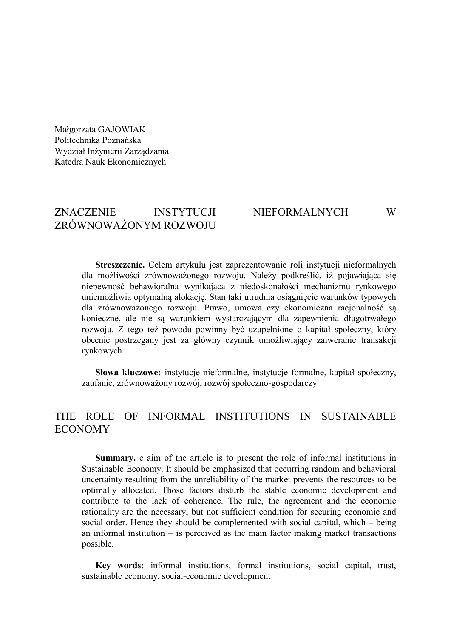Małgorzata GAJOWIAK Politechnika Poznańska Wydział Inżynierii Zarządzania Katedra Nauk Ekonomicznych

# ZNACZENIE INSTYTUCJI NIEFORMALNYCH W ZRÓWNOWAŻONYM ROZWOJU

**Streszczenie.** Celem artykułu jest zaprezentowanie roli instytucji nieformalnych dla możliwości zrównoważonego rozwoju. Należy podkreślić, iż pojawiająca się niepewność behawioralna wynikająca z niedoskonałości mechanizmu rynkowego uniemożliwia optymalną alokację. Stan taki utrudnia osiągnięcie warunków typowych dla zrównoważonego rozwoju. Prawo, umowa czy ekonomiczna racjonalność są konieczne, ale nie są warunkiem wystarczającym dla zapewnienia długotrwałego rozwoju. Z tego też powodu powinny być uzupełnione o kapitał społeczny, który obecnie postrzegany jest za główny czynnik umożliwiający zaiweranie transakcji rynkowych.

**Słowa kluczowe:** instytucje nieformalne, instytucje formalne, kapitał społeczny, zaufanie, zrównoważony rozwój, rozwój społeczno-gospodarczy

# THE ROLE OF INFORMAL INSTITUTIONS IN SUSTAINABLE ECONOMY

**Summary.** e aim of the article is to present the role of informal institutions in Sustainable Economy. It should be emphasized that occurring random and behavioral uncertainty resulting from the unreliability of the market prevents the resources to be optimally allocated. Those factors disturb the stable economic development and contribute to the lack of coherence. The rule, the agreement and the economic rationality are the necessary, but not sufficient condition for securing economic and social order. Hence they should be complemented with social capital, which – being an informal institution – is perceived as the main factor making market transactions possible.

**Key words:** informal institutions, formal institutions, social capital, trust, sustainable economy, social-economic development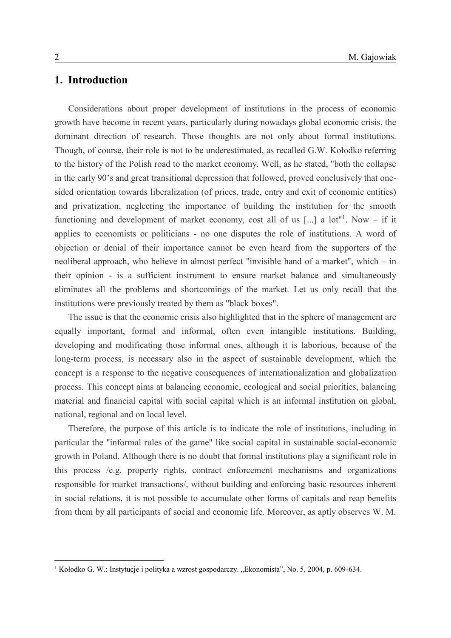## **1. Introduction**

Considerations about proper development of institutions in the process of economic growth have become in recent years, particularly during nowadays global economic crisis, the dominant direction of research. Those thoughts are not only about formal institutions. Though, of course, their role is not to be underestimated, as recalled G.W. Kołodko referring to the history of the Polish road to the market economy. Well, as he stated, "both the collapse in the early 90's and great transitional depression that followed, proved conclusively that onesided orientation towards liberalization (of prices, trade, entry and exit of economic entities) and privatization, neglecting the importance of building the institution for the smooth functioning and development of market economy, cost all of us  $[...]$  a lot"<sup>1</sup>. Now – if it applies to economists or politicians - no one disputes the role of institutions. A word of objection or denial of their importance cannot be even heard from the supporters of the neoliberal approach, who believe in almost perfect "invisible hand of a market", which – in their opinion - is a sufficient instrument to ensure market balance and simultaneously eliminates all the problems and shortcomings of the market. Let us only recall that the institutions were previously treated by them as "black boxes".

The issue is that the economic crisis also highlighted that in the sphere of management are equally important, formal and informal, often even intangible institutions. Building, developing and modificating those informal ones, although it is laborious, because of the long-term process, is necessary also in the aspect of sustainable development, which the concept is a response to the negative consequences of internationalization and globalization process. This concept aims at balancing economic, ecological and social priorities, balancing material and financial capital with social capital which is an informal institution on global, national, regional and on local level.

Therefore, the purpose of this article is to indicate the role of institutions, including in particular the "informal rules of the game" like social capital in sustainable social-economic growth in Poland. Although there is no doubt that formal institutions play a significant role in this process /e.g. property rights, contract enforcement mechanisms and organizations responsible for market transactions/, without building and enforcing basic resources inherent in social relations, it is not possible to accumulate other forms of capitals and reap benefits from them by all participants of social and economic life. Moreover, as aptly observes W. M.

1

<sup>&</sup>lt;sup>1</sup> Kołodko G. W.: Instytucje i polityka a wzrost gospodarczy. "Ekonomista", No. 5, 2004, p. 609-634.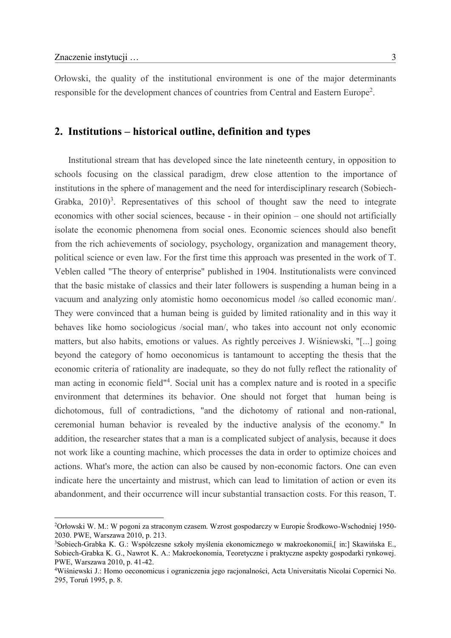<u>.</u>

Orłowski, the quality of the institutional environment is one of the major determinants responsible for the development chances of countries from Central and Eastern Europe<sup>2</sup>.

## **2. Institutions – historical outline, definition and types**

Institutional stream that has developed since the late nineteenth century, in opposition to schools focusing on the classical paradigm, drew close attention to the importance of institutions in the sphere of management and the need for interdisciplinary research (Sobiech-Grabka,  $2010$ <sup>3</sup>. Representatives of this school of thought saw the need to integrate economics with other social sciences, because - in their opinion – one should not artificially isolate the economic phenomena from social ones. Economic sciences should also benefit from the rich achievements of sociology, psychology, organization and management theory, political science or even law. For the first time this approach was presented in the work of T. Veblen called "The theory of enterprise" published in 1904. Institutionalists were convinced that the basic mistake of classics and their later followers is suspending a human being in a vacuum and analyzing only atomistic homo oeconomicus model /so called economic man/. They were convinced that a human being is guided by limited rationality and in this way it behaves like homo sociologicus /social man/, who takes into account not only economic matters, but also habits, emotions or values. As rightly perceives J. Wiśniewski, "[...] going beyond the category of homo oeconomicus is tantamount to accepting the thesis that the economic criteria of rationality are inadequate, so they do not fully reflect the rationality of man acting in economic field"<sup>4</sup> . Social unit has a complex nature and is rooted in a specific environment that determines its behavior. One should not forget that human being is dichotomous, full of contradictions, "and the dichotomy of rational and non-rational, ceremonial human behavior is revealed by the inductive analysis of the economy." In addition, the researcher states that a man is a complicated subject of analysis, because it does not work like a counting machine, which processes the data in order to optimize choices and actions. What's more, the action can also be caused by non-economic factors. One can even indicate here the uncertainty and mistrust, which can lead to limitation of action or even its abandonment, and their occurrence will incur substantial transaction costs. For this reason, T.

<sup>2</sup>Orłowski W. M.: W pogoni za straconym czasem. Wzrost gospodarczy w Europie Środkowo-Wschodniej 1950- 2030. PWE, Warszawa 2010, p. 213.

<sup>3</sup>Sobiech-Grabka K. G.: Współczesne szkoły myślenia ekonomicznego w makroekonomii,[ in:] Skawińska E., Sobiech-Grabka K. G., Nawrot K. A.: Makroekonomia, Teoretyczne i praktyczne aspekty gospodarki rynkowej. PWE, Warszawa 2010, p. 41-42.

<sup>4</sup>Wiśniewski J.: Homo oeconomicus i ograniczenia jego racjonalności, Acta Universitatis Nicolai Copernici No. 295, Toruń 1995, p. 8.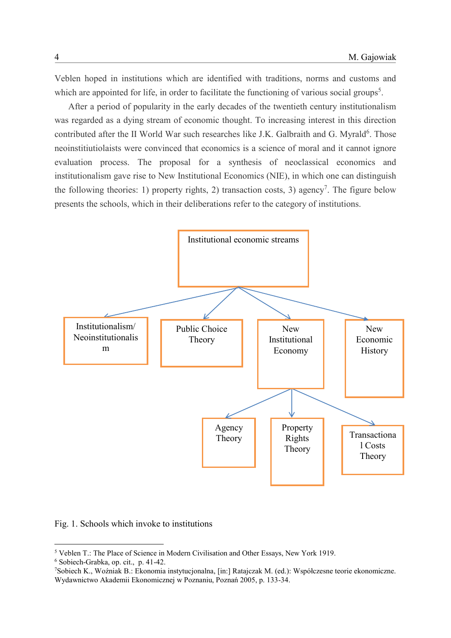Veblen hoped in institutions which are identified with traditions, norms and customs and which are appointed for life, in order to facilitate the functioning of various social groups<sup>5</sup>.

After a period of popularity in the early decades of the twentieth century institutionalism was regarded as a dying stream of economic thought. To increasing interest in this direction contributed after the II World War such researches like J.K. Galbraith and G. Myrald<sup>6</sup>. Those neoinstitiutiolaists were convinced that economics is a science of moral and it cannot ignore evaluation process. The proposal for a synthesis of neoclassical economics and institutionalism gave rise to New Institutional Economics (NIE), in which one can distinguish the following theories: 1) property rights, 2) transaction costs, 3) agency<sup>7</sup>. The figure below presents the schools, which in their deliberations refer to the category of institutions.



Fig. 1. Schools which invoke to institutions

<sup>5</sup> Veblen T.: The Place of Science in Modern Civilisation and Other Essays, New York 1919.

<sup>6</sup> Sobiech-Grabka, op. cit., p. 41-42.

<sup>7</sup>Sobiech K., Woźniak B.: Ekonomia instytucjonalna, [in:] Ratajczak M. (ed.): Współczesne teorie ekonomiczne. Wydawnictwo Akademii Ekonomicznej w Poznaniu, Poznań 2005, p. 133-34.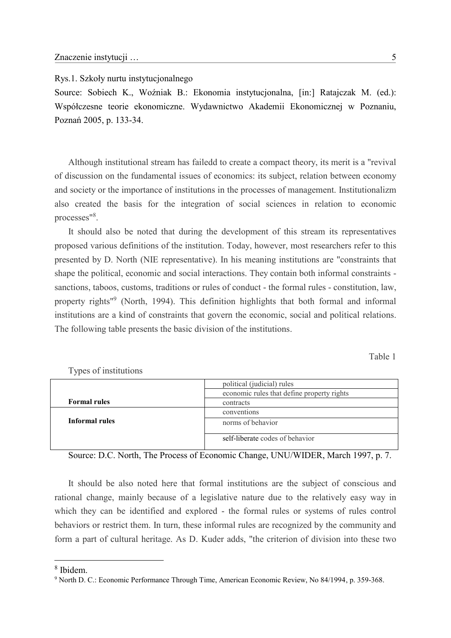Rys.1. Szkoły nurtu instytucjonalnego

Source: Sobiech K., Woźniak B.: Ekonomia instytucjonalna, [in:] Ratajczak M. (ed.): Współczesne teorie ekonomiczne. Wydawnictwo Akademii Ekonomicznej w Poznaniu, Poznań 2005, p. 133-34.

Although institutional stream has failedd to create a compact theory, its merit is a "revival of discussion on the fundamental issues of economics: its subject, relation between economy and society or the importance of institutions in the processes of management. Institutionalizm also created the basis for the integration of social sciences in relation to economic processes"<sup>8</sup>.

It should also be noted that during the development of this stream its representatives proposed various definitions of the institution. Today, however, most researchers refer to this presented by D. North (NIE representative). In his meaning institutions are "constraints that shape the political, economic and social interactions. They contain both informal constraints sanctions, taboos, customs, traditions or rules of conduct - the formal rules - constitution, law, property rights<sup>19</sup> (North, 1994). This definition highlights that both formal and informal institutions are a kind of constraints that govern the economic, social and political relations. The following table presents the basic division of the institutions.

Table 1

|                     | political (judicial) rules                 |
|---------------------|--------------------------------------------|
|                     | economic rules that define property rights |
| <b>Formal rules</b> | contracts                                  |
|                     | conventions                                |
| Informal rules      | norms of behavior                          |
|                     | self-liberate codes of behavior            |

Types of institutions

Source: D.C. North, The Process of Economic Change, UNU/WIDER, March 1997, p. 7.

It should be also noted here that formal institutions are the subject of conscious and rational change, mainly because of a legislative nature due to the relatively easy way in which they can be identified and explored - the formal rules or systems of rules control behaviors or restrict them. In turn, these informal rules are recognized by the community and form a part of cultural heritage. As D. Kuder adds, "the criterion of division into these two

1

<sup>8</sup> Ibidem.

<sup>9</sup> North D. C.: Economic Performance Through Time, American Economic Review, No 84/1994, p. 359-368.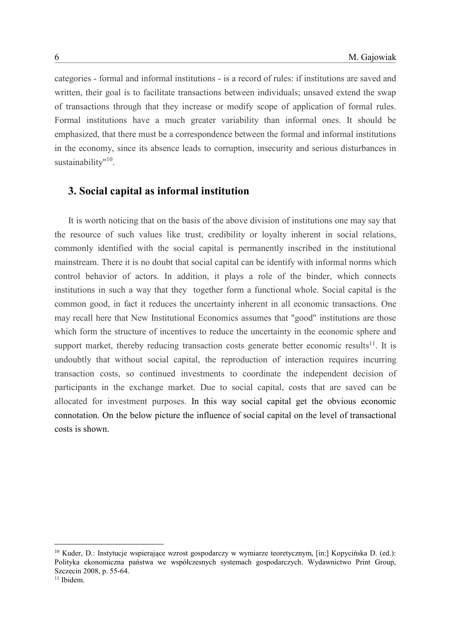categories - formal and informal institutions - is a record of rules: if institutions are saved and written, their goal is to facilitate transactions between individuals; unsaved extend the swap of transactions through that they increase or modify scope of application of formal rules. Formal institutions have a much greater variability than informal ones. It should be emphasized, that there must be a correspondence between the formal and informal institutions in the economy, since its absence leads to corruption, insecurity and serious disturbances in sustainability"<sup>10</sup>.

#### **3. Social capital as informal institution**

It is worth noticing that on the basis of the above division of institutions one may say that the resource of such values like trust, credibility or loyalty inherent in social relations, commonly identified with the social capital is permanently inscribed in the institutional mainstream. There it is no doubt that social capital can be identify with informal norms which control behavior of actors. In addition, it plays a role of the binder, which connects institutions in such a way that they together form a functional whole. Social capital is the common good, in fact it reduces the uncertainty inherent in all economic transactions. One may recall here that New Institutional Economics assumes that "good" institutions are those which form the structure of incentives to reduce the uncertainty in the economic sphere and support market, thereby reducing transaction costs generate better economic results<sup>11</sup>. It is undoubtly that without social capital, the reproduction of interaction requires incurring transaction costs, so continued investments to coordinate the independent decision of participants in the exchange market. Due to social capital, costs that are saved can be allocated for investment purposes. In this way social capital get the obvious economic connotation. On the below picture the influence of social capital on the level of transactional costs is shown.

<sup>&</sup>lt;sup>10</sup> Kuder, D.: Instytucje wspierające wzrost gospodarczy w wymiarze teoretycznym, [in:] Kopycińska D. (ed.): Polityka ekonomiczna państwa we współczesnych systemach gospodarczych. Wydawnictwo Print Group, Szczecin 2008, p. 55-64.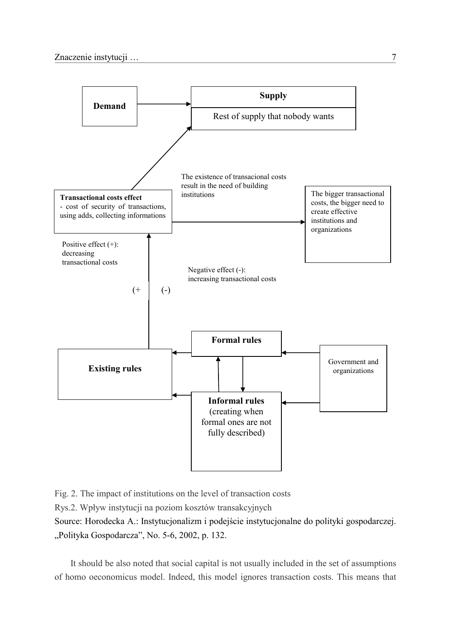

Fig. 2. The impact of institutions on the level of transaction costs

Rys.2. Wpływ instytucji na poziom kosztów transakcyjnych

Source: Horodecka A.: Instytucjonalizm i podejście instytucjonalne do polityki gospodarczej. "Polityka Gospodarcza", No. 5-6, 2002, p. 132.

It should be also noted that social capital is not usually included in the set of assumptions of homo oeconomicus model. Indeed, this model ignores transaction costs. This means that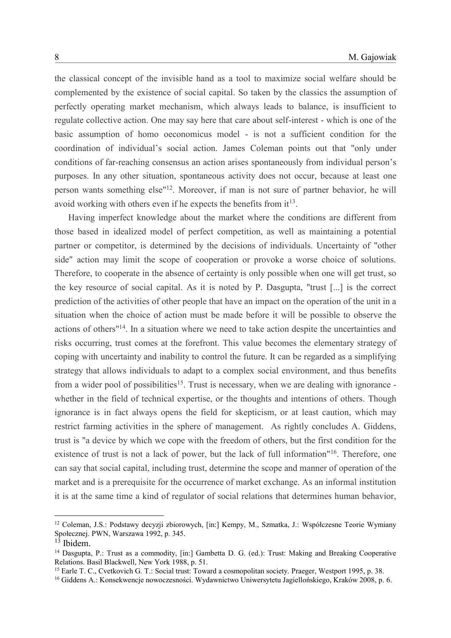the classical concept of the invisible hand as a tool to maximize social welfare should be complemented by the existence of social capital. So taken by the classics the assumption of perfectly operating market mechanism, which always leads to balance, is insufficient to regulate collective action. One may say here that care about self-interest - which is one of the basic assumption of homo oeconomicus model - is not a sufficient condition for the coordination of individual's social action. James Coleman points out that "only under conditions of far-reaching consensus an action arises spontaneously from individual person's purposes. In any other situation, spontaneous activity does not occur, because at least one person wants something else" <sup>12</sup>. Moreover, if man is not sure of partner behavior, he will avoid working with others even if he expects the benefits from  $it^{13}$ .

Having imperfect knowledge about the market where the conditions are different from those based in idealized model of perfect competition, as well as maintaining a potential partner or competitor, is determined by the decisions of individuals. Uncertainty of "other side" action may limit the scope of cooperation or provoke a worse choice of solutions. Therefore, to cooperate in the absence of certainty is only possible when one will get trust, so the key resource of social capital. As it is noted by P. Dasgupta, "trust [...] is the correct prediction of the activities of other people that have an impact on the operation of the unit in a situation when the choice of action must be made before it will be possible to observe the actions of others"<sup>14</sup>. In a situation where we need to take action despite the uncertainties and risks occurring, trust comes at the forefront. This value becomes the elementary strategy of coping with uncertainty and inability to control the future. It can be regarded as a simplifying strategy that allows individuals to adapt to a complex social environment, and thus benefits from a wider pool of possibilities<sup>15</sup>. Trust is necessary, when we are dealing with ignorance whether in the field of technical expertise, or the thoughts and intentions of others. Though ignorance is in fact always opens the field for skepticism, or at least caution, which may restrict farming activities in the sphere of management. As rightly concludes A. Giddens, trust is "a device by which we cope with the freedom of others, but the first condition for the existence of trust is not a lack of power, but the lack of full information"<sup>16</sup>. Therefore, one can say that social capital, including trust, determine the scope and manner of operation of the market and is a prerequisite for the occurrence of market exchange. As an informal institution it is at the same time a kind of regulator of social relations that determines human behavior,

<sup>12</sup> Coleman, J.S.: Podstawy decyzji zbiorowych, [in:] Kempy, M., Szmatka, J.: Współczesne Teorie Wymiany Społecznej. PWN, Warszawa 1992, p. 345.

<sup>13</sup> Ibidem.

<sup>&</sup>lt;sup>14</sup> Dasgupta, P.: Trust as a commodity, [in:] Gambetta D. G. (ed.): Trust: Making and Breaking Cooperative Relations. Basil Blackwell, New York 1988, p. 51.

<sup>&</sup>lt;sup>15</sup> Earle T. C., Cvetkovich G. T.: Social trust: Toward a cosmopolitan society. Praeger, Westport 1995, p. 38.

<sup>16</sup> Giddens A.: Konsekwencje nowoczesności. Wydawnictwo Uniwersytetu Jagiellońskiego, Kraków 2008, p. 6.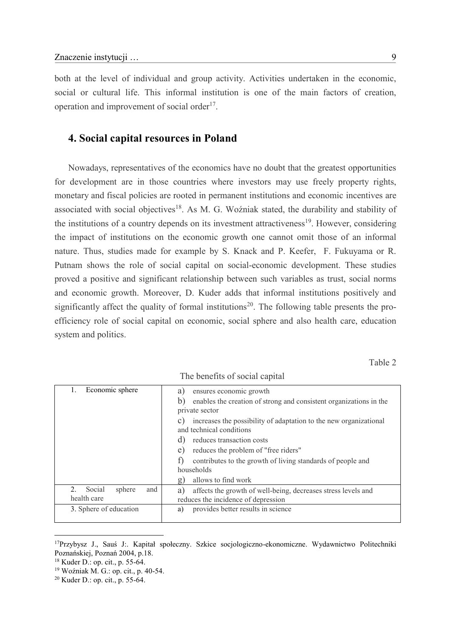both at the level of individual and group activity. Activities undertaken in the economic, social or cultural life. This informal institution is one of the main factors of creation, operation and improvement of social order<sup>17</sup>.

### **4. Social capital resources in Poland**

Nowadays, representatives of the economics have no doubt that the greatest opportunities for development are in those countries where investors may use freely property rights, monetary and fiscal policies are rooted in permanent institutions and economic incentives are associated with social objectives<sup>18</sup>. As M. G. Woźniak stated, the durability and stability of the institutions of a country depends on its investment attractiveness<sup>19</sup>. However, considering the impact of institutions on the economic growth one cannot omit those of an informal nature. Thus, studies made for example by S. Knack and P. Keefer, F. Fukuyama or R. Putnam shows the role of social capital on social-economic development. These studies proved a positive and significant relationship between such variables as trust, social norms and economic growth. Moreover, D. Kuder adds that informal institutions positively and significantly affect the quality of formal institutions<sup>20</sup>. The following table presents the proefficiency role of social capital on economic, social sphere and also health care, education system and politics.

Table 2

| Economic sphere<br>Ι.                                                 | ensures economic growth<br>a)                                                                                  |
|-----------------------------------------------------------------------|----------------------------------------------------------------------------------------------------------------|
|                                                                       | b)<br>enables the creation of strong and consistent organizations in the<br>private sector                     |
|                                                                       | increases the possibility of adaptation to the new organizational<br>$\mathcal{C}$<br>and technical conditions |
|                                                                       | reduces transaction costs                                                                                      |
|                                                                       | reduces the problem of "free riders"<br>e)                                                                     |
|                                                                       | contributes to the growth of living standards of people and<br>households                                      |
|                                                                       | allows to find work<br>$\mathbf{g}$                                                                            |
| and<br>Social<br>sphere<br>$\mathcal{D}_{\mathcal{L}}$<br>health care | affects the growth of well-being, decreases stress levels and<br>a)<br>reduces the incidence of depression     |
| 3. Sphere of education                                                | provides better results in science<br>a)                                                                       |

The benefits of social capital

<sup>17</sup>Przybysz J., Sauś J:. Kapitał społeczny. Szkice socjologiczno-ekonomiczne. Wydawnictwo Politechniki Poznańskiej, Poznań 2004, p.18.

<sup>18</sup> Kuder D.: op. cit., p. 55-64.

<sup>19</sup> Woźniak M. G.: op. cit., p. 40-54.

<sup>20</sup> Kuder D.: op. cit., p. 55-64.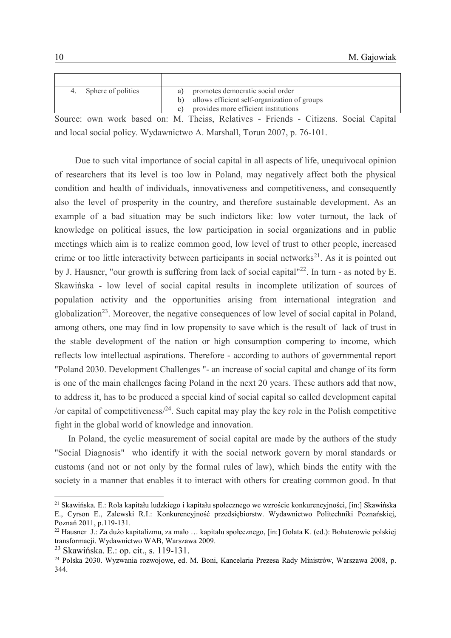| Sphere of politics | a) promotes democratic social order             |
|--------------------|-------------------------------------------------|
|                    | b) allows efficient self-organization of groups |
|                    | provides more efficient institutions            |

Source: own work based on: M. Theiss, Relatives - Friends - Citizens. Social Capital and local social policy. Wydawnictwo A. Marshall, Torun 2007, p. 76-101.

 Due to such vital importance of social capital in all aspects of life, unequivocal opinion of researchers that its level is too low in Poland, may negatively affect both the physical condition and health of individuals, innovativeness and competitiveness, and consequently also the level of prosperity in the country, and therefore sustainable development. As an example of a bad situation may be such indictors like: low voter turnout, the lack of knowledge on political issues, the low participation in social organizations and in public meetings which aim is to realize common good, low level of trust to other people, increased crime or too little interactivity between participants in social networks<sup>21</sup>. As it is pointed out by J. Hausner, "our growth is suffering from lack of social capital"<sup>22</sup>. In turn - as noted by E. Skawińska - low level of social capital results in incomplete utilization of sources of population activity and the opportunities arising from international integration and globalization<sup>23</sup>. Moreover, the negative consequences of low level of social capital in Poland, among others, one may find in low propensity to save which is the result of lack of trust in the stable development of the nation or high consumption compering to income, which reflects low intellectual aspirations. Therefore - according to authors of governmental report "Poland 2030. Development Challenges "- an increase of social capital and change of its form is one of the main challenges facing Poland in the next 20 years. These authors add that now, to address it, has to be produced a special kind of social capital so called development capital /or capital of competitiveness $/24$ . Such capital may play the key role in the Polish competitive fight in the global world of knowledge and innovation.

In Poland, the cyclic measurement of social capital are made by the authors of the study "Social Diagnosis" who identify it with the social network govern by moral standards or customs (and not or not only by the formal rules of law), which binds the entity with the society in a manner that enables it to interact with others for creating common good. In that

<sup>21</sup> Skawińska. E.: Rola kapitału ludzkiego i kapitału społecznego we wzroście konkurencyjności, [in:] Skawińska E., Cyrson E., Zalewski R.I.: Konkurencyjność przedsiębiorstw. Wydawnictwo Politechniki Poznańskiej, Poznań 2011, p.119-131.

<sup>22</sup> Hausner J.: Za dużo kapitalizmu, za mało … kapitału społecznego, [in:] Gołata K. (ed.): Bohaterowie polskiej transformacji. Wydawnictwo WAB, Warszawa 2009.

<sup>23</sup> Skawińska. E.: op. cit., s. 119-131.

<sup>24</sup> Polska 2030. Wyzwania rozwojowe, ed. M. Boni, Kancelaria Prezesa Rady Ministrów, Warszawa 2008, p. 344.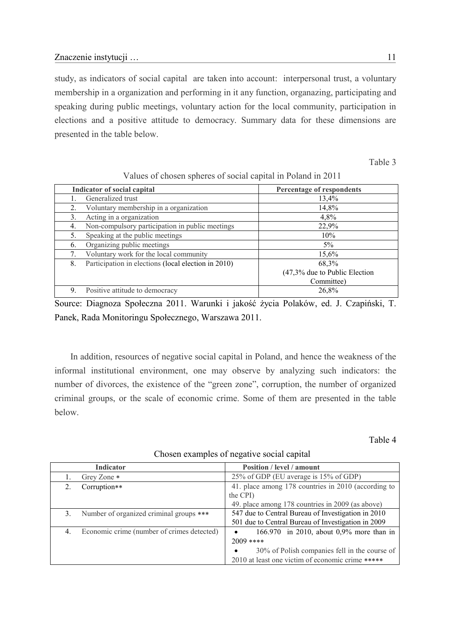study, as indicators of social capital are taken into account: interpersonal trust, a voluntary membership in a organization and performing in it any function, organazing, participating and speaking during public meetings, voluntary action for the local community, participation in elections and a positive attitude to democracy. Summary data for these dimensions are presented in the table below.

Table 3

|    | Indicator of social capital                         | Percentage of respondents       |
|----|-----------------------------------------------------|---------------------------------|
|    | Generalized trust                                   | 13,4%                           |
| 2. | Voluntary membership in a organization              | 14,8%                           |
| 3. | Acting in a organization                            | 4,8%                            |
| 4. | Non-compulsory participation in public meetings     | 22,9%                           |
| 5. | Speaking at the public meetings                     | 10%                             |
| 6. | Organizing public meetings                          | $5\%$                           |
|    | Voluntary work for the local community              | 15,6%                           |
| 8. | Participation in elections (local election in 2010) | 68,3%                           |
|    |                                                     | $(47,3%$ due to Public Election |
|    |                                                     | Committee)                      |
| 9  | Positive attitude to democracy                      | 26,8%                           |

Values of chosen spheres of social capital in Poland in 2011

Source: Diagnoza Społeczna 2011. Warunki i jakość życia Polaków, ed. J. Czapiński, T. Panek, Rada Monitoringu Społecznego, Warszawa 2011.

 In addition, resources of negative social capital in Poland, and hence the weakness of the informal institutional environment, one may observe by analyzing such indicators: the number of divorces, the existence of the "green zone", corruption, the number of organized criminal groups, or the scale of economic crime. Some of them are presented in the table below.

Table 4

|         | <b>Indicator</b>                           | Position / level / amount                           |
|---------|--------------------------------------------|-----------------------------------------------------|
|         | Grey Zone *                                | 25% of GDP (EU average is 15% of GDP)               |
| $2_{-}$ | Corruption**                               | 41. place among 178 countries in 2010 (according to |
|         |                                            | the CPI)                                            |
|         |                                            | 49. place among 178 countries in 2009 (as above)    |
| 3.      | Number of organized criminal groups ***    | 547 due to Central Bureau of Investigation in 2010  |
|         |                                            | 501 due to Central Bureau of Investigation in 2009  |
| 4.      | Economic crime (number of crimes detected) | 166.970 in 2010, about 0,9% more than in            |
|         |                                            | $2009$ ****                                         |
|         |                                            | 30% of Polish companies fell in the course of       |
|         |                                            | 2010 at least one victim of economic crime *****    |

#### Chosen examples of negative social capital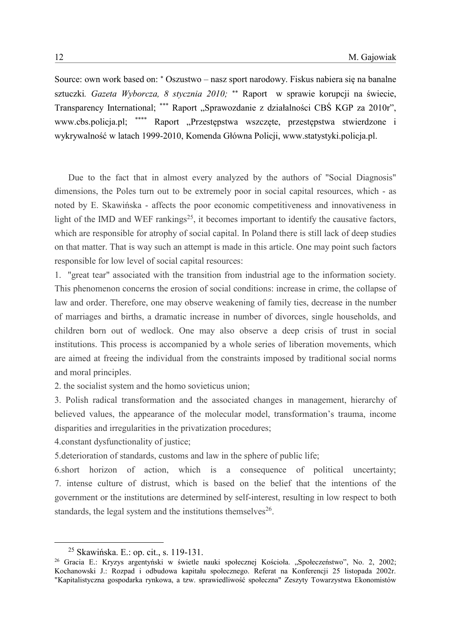Source: own work based on: \* Oszustwo – nasz sport narodowy. Fiskus nabiera się na banalne [sztuczki](http://wyborcza.biz/biznes/1,100896,7435228,Oszustwo___nasz_sport_narodowy__Fiskus_nabiera_sie.html). Gazeta Wyborcza, 8 stycznia 2010; \*\* Raport w sprawie korupcji na świecie, Transparency International; \*\*\* Raport "Sprawozdanie z działalności CBŚ KGP za 2010r", [www.cbs.policja.pl;](http://www.cbs.policja.pl/) \*\*\*\* Raport "Przestępstwa wszczęte, przestępstwa stwierdzone i wykrywalność w latach 1999-2010, Komenda Główna Policji, www.statystyki.policja.pl.

Due to the fact that in almost every analyzed by the authors of "Social Diagnosis" dimensions, the Poles turn out to be extremely poor in social capital resources, which - as noted by E. Skawińska - affects the poor economic competitiveness and innovativeness in light of the IMD and WEF rankings<sup>25</sup>, it becomes important to identify the causative factors, which are responsible for atrophy of social capital. In Poland there is still lack of deep studies on that matter. That is way such an attempt is made in this article. One may point such factors responsible for low level of social capital resources:

1. "great tear" associated with the transition from industrial age to the information society. This phenomenon concerns the erosion of social conditions: increase in crime, the collapse of law and order. Therefore, one may observe weakening of family ties, decrease in the number of marriages and births, a dramatic increase in number of divorces, single households, and children born out of wedlock. One may also observe a deep crisis of trust in social institutions. This process is accompanied by a whole series of liberation movements, which are aimed at freeing the individual from the constraints imposed by traditional social norms and moral principles.

2. the socialist system and the homo sovieticus union;

3. Polish radical transformation and the associated changes in management, hierarchy of believed values, the appearance of the molecular model, transformation's trauma, income disparities and irregularities in the privatization procedures;

4.constant dysfunctionality of justice;

5.deterioration of standards, customs and law in the sphere of public life;

6.short horizon of action, which is a consequence of political uncertainty; 7. intense culture of distrust, which is based on the belief that the intentions of the government or the institutions are determined by self-interest, resulting in low respect to both standards, the legal system and the institutions themselves<sup>26</sup>.

<sup>25</sup> Skawińska. E.: op. cit., s. 119-131.

<sup>&</sup>lt;sup>26</sup> Gracia E.: Kryzys argentyński w świetle nauki społecznej Kościoła. "Społeczeństwo", No. 2, 2002; Kochanowski J.: Rozpad i odbudowa kapitału społecznego. Referat na Konferencji 25 listopada 2002r. "Kapitalistyczna gospodarka rynkowa, a tzw. sprawiedliwość społeczna" Zeszyty Towarzystwa Ekonomistów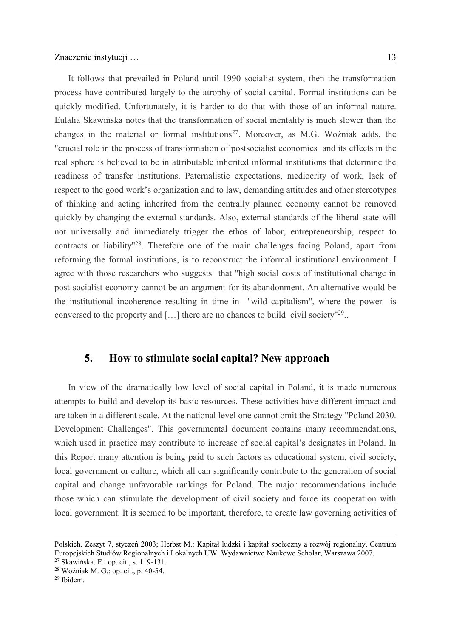It follows that prevailed in Poland until 1990 socialist system, then the transformation process have contributed largely to the atrophy of social capital. Formal institutions can be quickly modified. Unfortunately, it is harder to do that with those of an informal nature. Eulalia Skawińska notes that the transformation of social mentality is much slower than the changes in the material or formal institutions<sup>27</sup>. Moreover, as M.G. Woźniak adds, the "crucial role in the process of transformation of postsocialist economies and its effects in the real sphere is believed to be in attributable inherited informal institutions that determine the readiness of transfer institutions. Paternalistic expectations, mediocrity of work, lack of respect to the good work's organization and to law, demanding attitudes and other stereotypes of thinking and acting inherited from the centrally planned economy cannot be removed quickly by changing the external standards. Also, external standards of the liberal state will not universally and immediately trigger the ethos of labor, entrepreneurship, respect to contracts or liability" <sup>28</sup>. Therefore one of the main challenges facing Poland, apart from reforming the formal institutions, is to reconstruct the informal institutional environment. I agree with those researchers who suggests that "high social costs of institutional change in post-socialist economy cannot be an argument for its abandonment. An alternative would be the institutional incoherence resulting in time in "wild capitalism", where the power is conversed to the property and  $[...]$  there are no chances to build civil society<sup> $129$ </sup>..

#### **5. How to stimulate social capital? New approach**

In view of the dramatically low level of social capital in Poland, it is made numerous attempts to build and develop its basic resources. These activities have different impact and are taken in a different scale. At the national level one cannot omit the Strategy "Poland 2030. Development Challenges". This governmental document contains many recommendations, which used in practice may contribute to increase of social capital's designates in Poland. In this Report many attention is being paid to such factors as educational system, civil society, local government or culture, which all can significantly contribute to the generation of social capital and change unfavorable rankings for Poland. The major recommendations include those which can stimulate the development of civil society and force its cooperation with local government. It is seemed to be important, therefore, to create law governing activities of

Polskich. Zeszyt 7, styczeń 2003; Herbst M.: Kapitał ludzki i kapitał społeczny a rozwój regionalny, Centrum Europejskich Studiów Regionalnych i Lokalnych UW. Wydawnictwo Naukowe Scholar, Warszawa 2007.

<sup>27</sup> Skawińska. E.: op. cit., s. 119-131.

<sup>28</sup> Woźniak M. G.: op. cit., p. 40-54.

<sup>29</sup> Ibidem.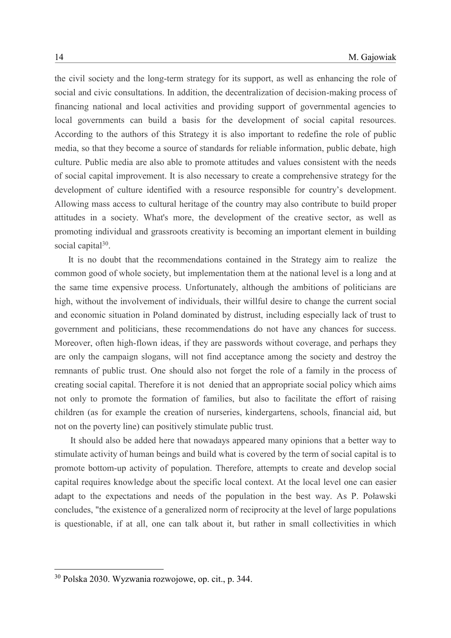the civil society and the long-term strategy for its support, as well as enhancing the role of social and civic consultations. In addition, the decentralization of decision-making process of financing national and local activities and providing support of governmental agencies to local governments can build a basis for the development of social capital resources. According to the authors of this Strategy it is also important to redefine the role of public media, so that they become a source of standards for reliable information, public debate, high culture. Public media are also able to promote attitudes and values consistent with the needs of social capital improvement. It is also necessary to create a comprehensive strategy for the development of culture identified with a resource responsible for country's development. Allowing mass access to cultural heritage of the country may also contribute to build proper attitudes in a society. What's more, the development of the creative sector, as well as promoting individual and grassroots creativity is becoming an important element in building social capital<sup>30</sup>.

It is no doubt that the recommendations contained in the Strategy aim to realize the common good of whole society, but implementation them at the national level is a long and at the same time expensive process. Unfortunately, although the ambitions of politicians are high, without the involvement of individuals, their willful desire to change the current social and economic situation in Poland dominated by distrust, including especially lack of trust to government and politicians, these recommendations do not have any chances for success. Moreover, often high-flown ideas, if they are passwords without coverage, and perhaps they are only the campaign slogans, will not find acceptance among the society and destroy the remnants of public trust. One should also not forget the role of a family in the process of creating social capital. Therefore it is not denied that an appropriate social policy which aims not only to promote the formation of families, but also to facilitate the effort of raising children (as for example the creation of nurseries, kindergartens, schools, financial aid, but not on the poverty line) can positively stimulate public trust.

 It should also be added here that nowadays appeared many opinions that a better way to stimulate activity of human beings and build what is covered by the term of social capital is to promote bottom-up activity of population. Therefore, attempts to create and develop social capital requires knowledge about the specific local context. At the local level one can easier adapt to the expectations and needs of the population in the best way. As P. Poławski concludes, "the existence of a generalized norm of reciprocity at the level of large populations is questionable, if at all, one can talk about it, but rather in small collectivities in which

<sup>30</sup> Polska 2030. Wyzwania rozwojowe, op. cit., p. 344.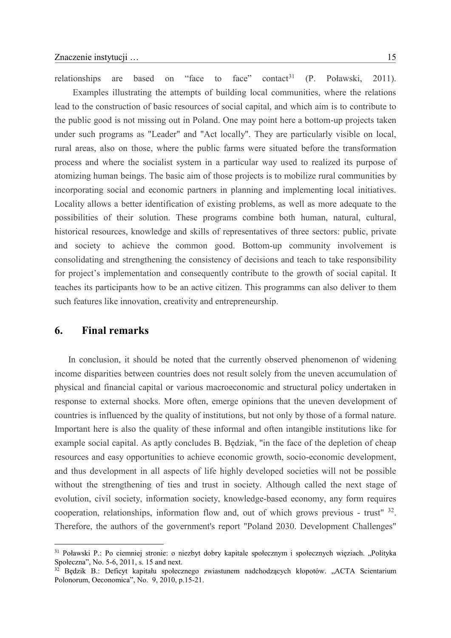relationships are based on "face to face" contact<sup>31</sup>  $(P.$  Poławski, 2011). Examples illustrating the attempts of building local communities, where the relations lead to the construction of basic resources of social capital, and which aim is to contribute to the public good is not missing out in Poland. One may point here a bottom-up projects taken under such programs as "Leader" and "Act locally". They are particularly visible on local, rural areas, also on those, where the public farms were situated before the transformation process and where the socialist system in a particular way used to realized its purpose of atomizing human beings. The basic aim of those projects is to mobilize rural communities by incorporating social and economic partners in planning and implementing local initiatives. Locality allows a better identification of existing problems, as well as more adequate to the possibilities of their solution. These programs combine both human, natural, cultural, historical resources, knowledge and skills of representatives of three sectors: public, private and society to achieve the common good. Bottom-up community involvement is consolidating and strengthening the consistency of decisions and teach to take responsibility for project's implementation and consequently contribute to the growth of social capital. It teaches its participants how to be an active citizen. This programms can also deliver to them

#### **6. Final remarks**

<u>.</u>

such features like innovation, creativity and entrepreneurship.

In conclusion, it should be noted that the currently observed phenomenon of widening income disparities between countries does not result solely from the uneven accumulation of physical and financial capital or various macroeconomic and structural policy undertaken in response to external shocks. More often, emerge opinions that the uneven development of countries is influenced by the quality of institutions, but not only by those of a formal nature. Important here is also the quality of these informal and often intangible institutions like for example social capital. As aptly concludes B. Będziak, "in the face of the depletion of cheap resources and easy opportunities to achieve economic growth, socio-economic development, and thus development in all aspects of life highly developed societies will not be possible without the strengthening of ties and trust in society. Although called the next stage of evolution, civil society, information society, knowledge-based economy, any form requires cooperation, relationships, information flow and, out of which grows previous - trust" <sup>32</sup>. Therefore, the authors of the government's report "Poland 2030. Development Challenges"

<sup>&</sup>lt;sup>31</sup> Poławski P.: Po ciemniej stronie: o niezbyt dobry kapitale społecznym i społecznych więziach. "Polityka Społeczna", No. 5-6, 2011, s. 15 and next.

<sup>&</sup>lt;sup>32</sup> Będzik B.: Deficyt kapitału społecznego zwiastunem nadchodzących kłopotów. "ACTA Scientarium Polonorum, Oeconomica", No. 9, 2010, p.15-21.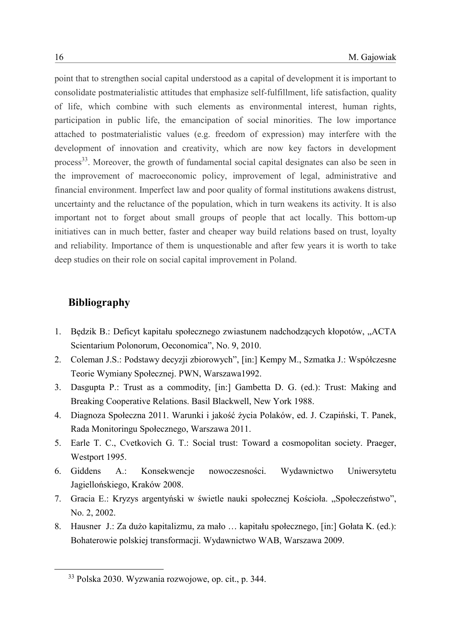point that to strengthen social capital understood as a capital of development it is important to consolidate postmaterialistic attitudes that emphasize self-fulfillment, life satisfaction, quality of life, which combine with such elements as environmental interest, human rights, participation in public life, the emancipation of social minorities. The low importance attached to postmaterialistic values (e.g. freedom of expression) may interfere with the development of innovation and creativity, which are now key factors in development process<sup>33</sup>. Moreover, the growth of fundamental social capital designates can also be seen in the improvement of macroeconomic policy, improvement of legal, administrative and financial environment. Imperfect law and poor quality of formal institutions awakens distrust, uncertainty and the reluctance of the population, which in turn weakens its activity. It is also important not to forget about small groups of people that act locally. This bottom-up initiatives can in much better, faster and cheaper way build relations based on trust, loyalty and reliability. Importance of them is unquestionable and after few years it is worth to take deep studies on their role on social capital improvement in Poland.

# **Bibliography**

- 1. Będzik B.: Deficyt kapitału społecznego zwiastunem nadchodzących kłopotów, "ACTA Scientarium Polonorum, Oeconomica", No. 9, 2010.
- 2. Coleman J.S.: Podstawy decyzji zbiorowych", [in:] Kempy M., Szmatka J.: Współczesne Teorie Wymiany Społecznej. PWN, Warszawa1992.
- 3. Dasgupta P.: Trust as a commodity, [in:] Gambetta D. G. (ed.): Trust: Making and Breaking Cooperative Relations. Basil Blackwell, New York 1988.
- 4. Diagnoza Społeczna 2011. Warunki i jakość życia Polaków, ed. J. Czapiński, T. Panek, Rada Monitoringu Społecznego, Warszawa 2011.
- 5. Earle T. C., Cvetkovich G. T.: Social trust: Toward a cosmopolitan society. Praeger, Westport 1995.
- 6. Giddens A.: Konsekwencje nowoczesności. Wydawnictwo Uniwersytetu Jagiellońskiego, Kraków 2008.
- 7. Gracia E.: Kryzys argentyński w świetle nauki społecznej Kościoła. "Społeczeństwo", No. 2, 2002.
- 8. Hausner J.: Za dużo kapitalizmu, za mało … kapitału społecznego, [in:] Gołata K. (ed.): Bohaterowie polskiej transformacji. Wydawnictwo WAB, Warszawa 2009.

<sup>33</sup> Polska 2030. Wyzwania rozwojowe, op. cit., p. 344.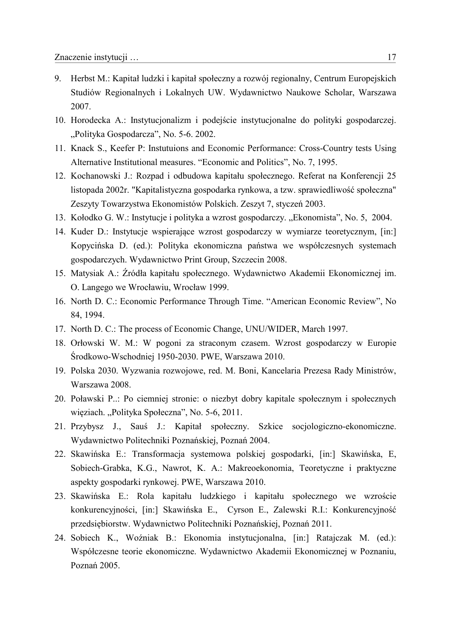- 9. Herbst M.: Kapitał ludzki i kapitał społeczny a rozwój regionalny, Centrum Europejskich Studiów Regionalnych i Lokalnych UW. Wydawnictwo Naukowe Scholar, Warszawa 2007.
- 10. Horodecka A.: Instytucjonalizm i podejście instytucjonalne do polityki gospodarczej. "Polityka Gospodarcza", No. 5-6. 2002.
- 11. Knack S., Keefer P: Instutuions and Economic Performance: Cross-Country tests Using Alternative Institutional measures. "Economic and Politics", No. 7, 1995.
- 12. Kochanowski J.: Rozpad i odbudowa kapitału społecznego. Referat na Konferencji 25 listopada 2002r. "Kapitalistyczna gospodarka rynkowa, a tzw. sprawiedliwość społeczna" Zeszyty Towarzystwa Ekonomistów Polskich. Zeszyt 7, styczeń 2003.
- 13. Kołodko G. W.: Instytucje i polityka a wzrost gospodarczy. "Ekonomista", No. 5, 2004.
- 14. Kuder D.: Instytucje wspierające wzrost gospodarczy w wymiarze teoretycznym, [in:] Kopycińska D. (ed.): Polityka ekonomiczna państwa we współczesnych systemach gospodarczych. Wydawnictwo Print Group, Szczecin 2008.
- 15. Matysiak A.: Źródła kapitału społecznego. Wydawnictwo Akademii Ekonomicznej im. O. Langego we Wrocławiu, Wrocław 1999.
- 16. North D. C.: Economic Performance Through Time. "American Economic Review", No 84, 1994.
- 17. North D. C.: The process of Economic Change, UNU/WIDER, March 1997.
- 18. Orłowski W. M.: W pogoni za straconym czasem. Wzrost gospodarczy w Europie Środkowo-Wschodniej 1950-2030. PWE, Warszawa 2010.
- 19. Polska 2030. Wyzwania rozwojowe, red. M. Boni, Kancelaria Prezesa Rady Ministrów, Warszawa 2008.
- 20. Poławski P..: Po ciemniej stronie: o niezbyt dobry kapitale społecznym i społecznych więziach. "Polityka Społeczna", No. 5-6, 2011.
- 21. Przybysz J., Sauś J.: Kapitał społeczny. Szkice socjologiczno-ekonomiczne. Wydawnictwo Politechniki Poznańskiej, Poznań 2004.
- 22. Skawińska E.: Transformacja systemowa polskiej gospodarki, [in:] Skawińska, E, Sobiech-Grabka, K.G., Nawrot, K. A.: Makreoekonomia, Teoretyczne i praktyczne aspekty gospodarki rynkowej. PWE, Warszawa 2010.
- 23. Skawińska E.: Rola kapitału ludzkiego i kapitału społecznego we wzroście konkurencyjności, [in:] Skawińska E., Cyrson E., Zalewski R.I.: Konkurencyjność przedsiębiorstw. Wydawnictwo Politechniki Poznańskiej, Poznań 2011.
- 24. Sobiech K., Woźniak B.: Ekonomia instytucjonalna, [in:] Ratajczak M. (ed.): Współczesne teorie ekonomiczne. Wydawnictwo Akademii Ekonomicznej w Poznaniu, Poznań 2005.